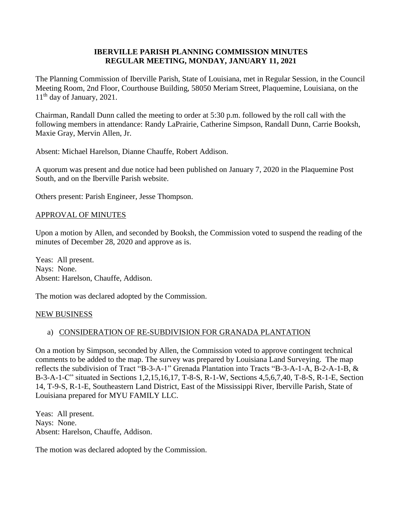## **IBERVILLE PARISH PLANNING COMMISSION MINUTES REGULAR MEETING, MONDAY, JANUARY 11, 2021**

The Planning Commission of Iberville Parish, State of Louisiana, met in Regular Session, in the Council Meeting Room, 2nd Floor, Courthouse Building, 58050 Meriam Street, Plaquemine, Louisiana, on the 11th day of January, 2021.

Chairman, Randall Dunn called the meeting to order at 5:30 p.m. followed by the roll call with the following members in attendance: Randy LaPrairie, Catherine Simpson, Randall Dunn, Carrie Booksh, Maxie Gray, Mervin Allen, Jr.

Absent: Michael Harelson, Dianne Chauffe, Robert Addison.

A quorum was present and due notice had been published on January 7, 2020 in the Plaquemine Post South, and on the Iberville Parish website.

Others present: Parish Engineer, Jesse Thompson.

## APPROVAL OF MINUTES

Upon a motion by Allen, and seconded by Booksh, the Commission voted to suspend the reading of the minutes of December 28, 2020 and approve as is.

Yeas: All present. Nays: None. Absent: Harelson, Chauffe, Addison.

The motion was declared adopted by the Commission.

#### NEW BUSINESS

# a) CONSIDERATION OF RE-SUBDIVISION FOR GRANADA PLANTATION

On a motion by Simpson, seconded by Allen, the Commission voted to approve contingent technical comments to be added to the map. The survey was prepared by Louisiana Land Surveying. The map reflects the subdivision of Tract "B-3-A-1" Grenada Plantation into Tracts "B-3-A-1-A, B-2-A-1-B, & B-3-A-1-C" situated in Sections 1,2,15,16,17, T-8-S, R-1-W, Sections 4,5,6,7,40, T-8-S, R-1-E, Section 14, T-9-S, R-1-E, Southeastern Land District, East of the Mississippi River, Iberville Parish, State of Louisiana prepared for MYU FAMILY LLC.

Yeas: All present. Nays: None. Absent: Harelson, Chauffe, Addison.

The motion was declared adopted by the Commission.